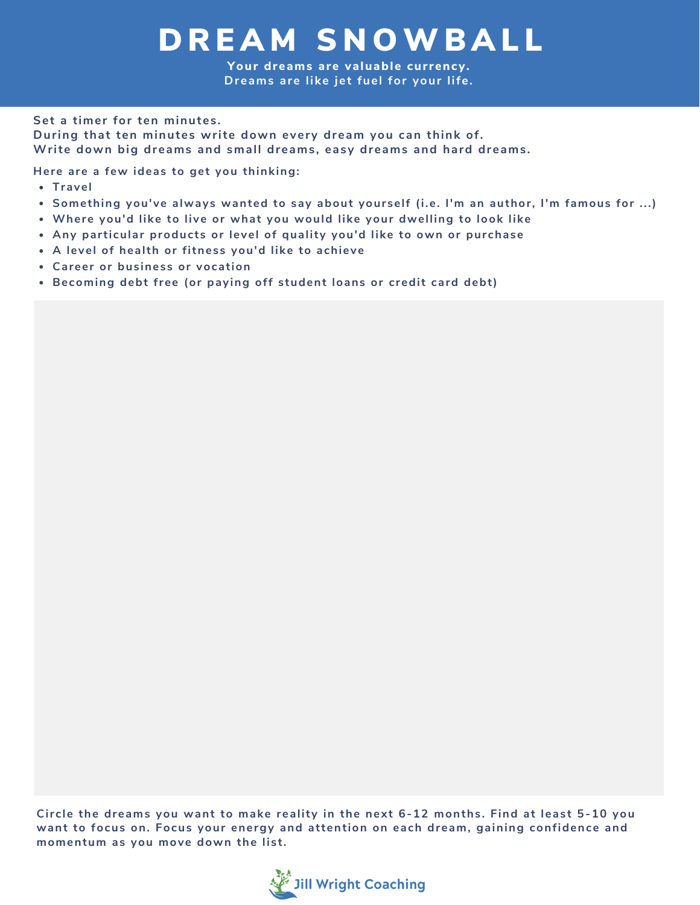## DREAM SNOWBALL

**Your dreams are valuable cur rency. Dreams are like jet fuel for your life.**

## **Set a timer for ten minutes.**

**During that ten minutes write down every dream you can think of. Write down big dreams and small dreams, easy dreams and hard dreams.**

**Here are a few ideas to get you thinking:**

- **Travel**
- **Something you've always wanted to say about yourself (i.e. I'm an author, I'm famous for ...)**
- **Where you'd like to live or what you would like your dwelling to look like**
- **Any particular products or level of quality you'd like to own or purchase**
- **A level of health or fitness you'd like to achieve**
- **Career or business or vocation**
- **Becoming debt free (or paying off student loans or credit card debt)**

**Circle the dreams you want to make reality in the next 6-12 months. Find at least 5-10 you want to focus on. Focus your energy and attention on each dream, gaining confidence and momentum as you move down the list.**